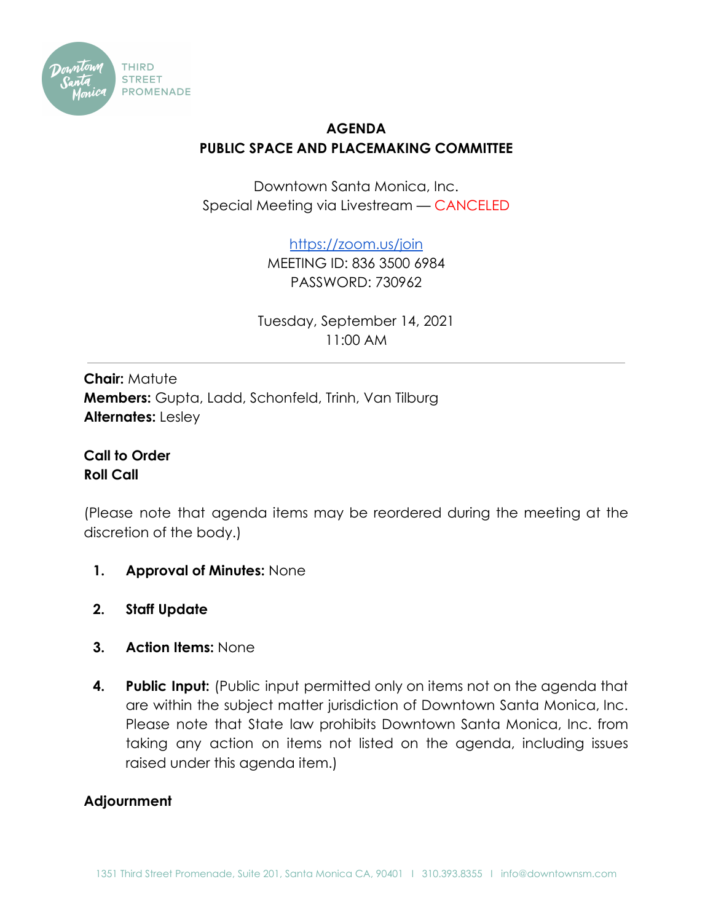

## **AGENDA PUBLIC SPACE AND PLACEMAKING COMMITTEE**

Downtown Santa Monica, Inc. Special Meeting via Livestream — CANCELED

<https://zoom.us/join>

MEETING ID: 836 3500 6984 PASSWORD: 730962

Tuesday, September 14, 2021 11:00 AM

**Chair:** Matute **Members:** Gupta, Ladd, Schonfeld, Trinh, Van Tilburg **Alternates:** Lesley

**Call to Order Roll Call**

(Please note that agenda items may be reordered during the meeting at the discretion of the body.)

- **1. Approval of Minutes:** None
- **2. Staff Update**
- **3. Action Items:** None
- **4. Public Input:** (Public input permitted only on items not on the agenda that are within the subject matter jurisdiction of Downtown Santa Monica, Inc. Please note that State law prohibits Downtown Santa Monica, Inc. from taking any action on items not listed on the agenda, including issues raised under this agenda item.)

## **Adjournment**